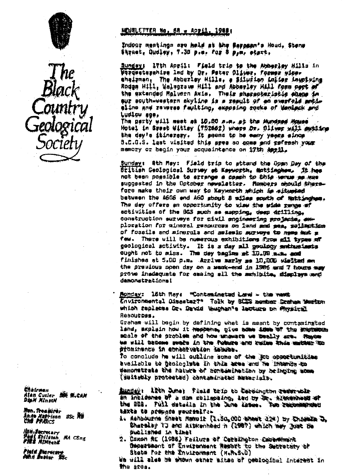



Chairman Alan Cutler - BBC W.CAN<br>DipM MinstM

lian. Trea kirër Anite Nathison BSc Na<br>Cha Princs

**Hon Becretary**<br>Paul Shilatan<br>Pies MiNeens **NA CEng** 

.<br>Mid funur Boc<br>Mid funur Boc

# NEWSLETTER No. 68 x April, 1988;

Indoor meatings are hold at the Serocan's Head, Stene Sirnet, Qudley, 7.38 p.m. for 8 p.m. start.

Sunday: 17th April: Field trip to the Abberley Hills in Wergesterahire led by Dr. Pater Oliver, former wiceshallman, The Abberley Hills, a Silurion inlies involving Rodga Hill, Walsgrawe Hill and Abberlay Hill form part of the extended Malvern Axis. Their pharacteristic shape in eur south-western skyline is a result of an averfold metieline and reverse faulting, exposing rocke of Menisck and Ludlow sea.

The party will meat at 10,00 a.m. at the Mundred Mouse Hotel in Syset Wittey (752662) where Dr. Gliwer will switte the day's itinerary. It gasms to be easy years since B.C.G.S. last visited this ages so come and refeesh your memory or begin your acquaintence on 17th Amril.

Sunday: Sth May: Field trip to attend the Open Day of the British Geological Survey et Keyworth, Mottinghow. It has not been possible to errange a comph to this werus as was suggested in the October newslatter. Members chould therefore make their own way to Keyworth which is situated between the A606 and A60 shout 8 miles south of Nottingham. The day offers an opportunity to wise the wide range of activities of the BGS such as mapping, deep drilling, construction surveys for civil engineering projects, exploration for mineral resources on land and sea, roliention of fossils and minerals and selemic murkeys to meme mut m There will be numerous exhibitions from all types of faw. geological activity. It is a day all geology enthusiasts cught not to miss. The day bagins at 10.08 man. and finishes at 5.00 p.m. Arrive marly as 10,000 wished an the previous open day on a weak-end in 1986 and 7 hours way prove inadaquate for casing all the schibits. diamlaws med demonstrations!

Honday: 16th May: "Conteminated Land - the week Environmental Disastar?" Talk by SCIS momber Craham Mesten which fapless Or. David Weuchan's lacture on Anysical Resources.

Graham will begin by dafining what is meant by contaminated land, explain how it heppens, give some idea of the engineer scale of the problem and how ungware we beally are. Raybe we will become swere in the fugure and redue this matter to seumine noisseu fodnus ni sanentalan

To conclude he will outline some of the 300 opportunities as strawnt of the sens ates in the footodd os sidsibus Wemonstrate the hature of contamination by bringing some (BuitBuy protested) contaminated weserials.

Sunday: 12th June; Field brip to Cardington reservoir in incleanse of a dam collapsing, led by Or. Alexanhesd of the BCS. Full detects in the June Lases. Two recommended taxta to prepare wourselfe-

- 1. Ashbourne Sheet Manuir (1.50,000 sheet (24) by Chassis 3. Charoley TJ and Aitkenhead n (1987) which may hust the **Dubitshed in time!**
- 2. Daxon AE (1986) Failura of Caralhoton Embankment Department of Environment Report to the Secretary of State for the Environment (H.M.S.D) We will also be shown ether sites of geological interest in the area.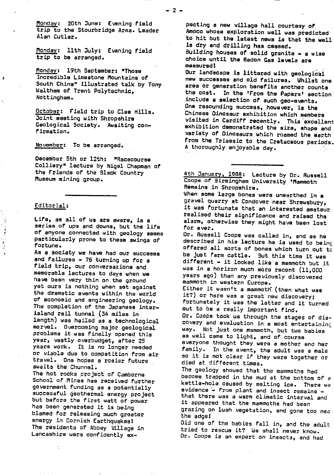Monday: 20th June: Evening field trip to **the Stourbridge Area. Leader Alan** Cutler.

Monday: 11th July: Evening field **trip to** be arranged.

Monday: 19th September: "Those Incredible Limestone Mountains of South China" illustrated talk by Tony Waltham of Trent Polytechnic, Nottingham.

October: Field trip to Clee Hills. Joint meeting with Shropshire Geological Society. Awaiting confirmation.

November: To be arranged.

December 5th or 12th: "Racecourse Colliery" lecture by Nigel Chapman of the Friends of the Black Country Museum mining group.

# Editorial:

 $\mathbf{I}$ 

Life, as all of us are aware, is a series of ups and downs, but the life of anyone connected with geology seems particularly prone to these swings of fortune.

As a society we have had our succeses and failures - 76 turning up for a field trip, our conversazione-and memorable lectures to days when we have been very thin an the ground yet ours is nothing when set against the dramatic events within the world of economic and engineering geology. The completion of the **Japanese interisland rail tunnel (34 miles in** length) was hailed as a technological marvel. Overcoming major geological problems it was finally opened this year, vastly overbudget, after 25 years work. It is no longer needed or viable due to competition from air travel. One hopes a rosier future awaits the Chunnel. The hot rocks project of Camborne School of Mines has received further government funding as a potentially successful geothermal energy project but before the first watt of power has been generated it is being blamed for releasing much greater

energy in Cornish Earthquakes! The residents of Abbey Village in Lancashire were confidently **ex-**

pecting a new village hall courtesy of Amoco whose exploration well was predicted to hit but **the latest news** is that the well **is dry** and drilling has ceased. Building houses of solid granite - a wise choice until the Radon Gas levels are measured!

Our landscape is littered with geological new successes and old failures. Whilst one area or generation benefits another counts the cost. In the 'From the Papers' section include a selection of such geo-events. One resounding success, however, is the Chinese Dinosaur exhibition which members visited in Cardiff recently. This excellent exhibition demonstrated the size, shape and variety of Dinosaurs which roamed the earth from the Triassic to the Cretaceous periods. A thoroughly enjoyable day.

4th January, 1988: Lecture by Dr. Russell Coope of Birmingham University 'Mammoth Remains in Shropshire.

When some large bones were unearthed in a gravel quarry at Condover near Shrewsbury, it was fortunate that an interested amateur realised their significance and raised the alarm, otherwise they might have been lost for ever.

Dr. Russell Coope was called in, and as he described in his lecture he is used to beinc offered all sorts of bones which turn out tc be just farm cattle. But this time it was different - it looked like a mammoth but it was in a horizon much more recent (11,000 **years ago) than any previously discovered mammoth in western Europe. Either** it wasn't a mammoth (then what was it?) or here was a great new discovery; fortunately it was the latter and it turned out to be a really important find. Dr. Coope took us through the stages of discovery and evaluation in a most entertaininc way. Not just one mammoth, but two babies as well came to light, and of course everyone thought they were a mother and her family. In the event, the adult was a male so it is not clear if they were together or died at different times.

The geology showed that the mammoths had become trapped in the mud at the bottom of a kettle-hole caused by melting ice. There we evidence - from plant and insect remains that there was a warm climatic interval and it appeared that the mammoths had been grazing on lush vegetation, and gone too nea the edge!

Did one of the babies fall in, and the adult tried to rescue it? We shall never know. Dr. Coope is an expert on insects, and had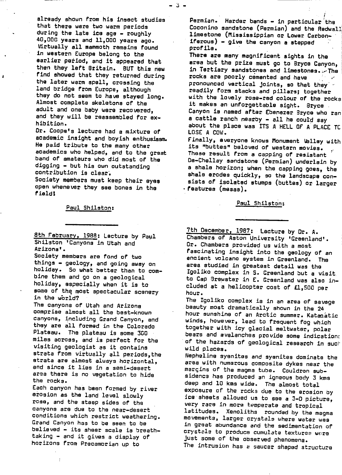already shown from his insect studies that there were two warm periods during the late ice age - roughly 40,000 years and 11,000 years ago. Virtually all mammoth remains found in western Europe belong to the earlier period, and it appeared that then they left Britain. BUT this new find showed that they returned during the later warm spell, crossing the land bridge from Europe, although they do not seem to have stayed long. Almost complete skeletons of the adult and one baby were recovered, and they will be reassembled for exhibition.

Â

Dr. Coops's lecture had a mixture of academic insight and boyish enthusiasm. He paid tribute to the many other academics who helped, and to the great band of amateurs who did most of the digging - but his own outstanding contribution is clear.

Society members must keep their eyes open whenever they see bones in the field!

Paul Shilston:

8th February, 1988: Lecture by Paul Shilston 'Canyons in Utah and Arizona'.

Society members are fond of two things - geology, and going away on holiday. So what better than to combine them and go on a geological holiday, especially when it is to some of the most spectacular scenery in the world?

The canyons of Utah and Arizona comprise almost all the best-known canyons, including Grand Canyon, and they are all formed in the Colorado Plateau. The plateau is some 300 miles across, and is perfect for the visiting geologist as it contains strata from virtually all periods,the strata are almost always horizontal, and since it lies in a semi-desert area there is no vegetation to hide the rocks.

Each canyon has been formed by river erosion as the land level slowly rose, and the steep sides of the canyons are due to the near-desert conditions which restrict weathering. Grand Canyon has to be seen to be believed - its sheer scale is breathtaking - and it gives a display of horizons from Precambrian up to

Permian. Harder bands - in particular the Coconino sandstone (Permian) and the Redwall limestone (Mississippian or Lower Carboniferous) - give the canyon a stepped profile.

There are many magnificent sights in the area but the prize must go to Bryce Canyon, in Tertiary sandstones and limestones.:.•The rocks are poorly cemented and have pronounced vertical joints, so that they readily form stacks and pillars; together with the lovely rose-red colour of the rocks it makes an unforgettable sight. Bryce . Canyon is named after Ebenezer Sryce who ran a cattle ranch nearby - all he could say about the place was ITS A HELL OF A PLACE TC LOSE A COW.

Finally, everyone knows Monument Valley with its "buttes" beloved of western movies. These result from a capping of resistant Da-Chellay sandstone (.Permian) underlain by a shale horizon; when the capping goes, the shale erodes quickly, so the landscape consists of isolated stumps (buttes) or larger - features (mesas).

Paul Shilston:

7th December, 1987: Lecture by Dr. A. Chambers of Aston University 'Greenland'. Dr. Chambers provided us with a most fascinating insight into the geology of an ancient volcano system in Greenland. The area studied in greatest detail was the Igoliko complex in S. Greenland but a visit to Cap Brewster in E. Greenland was also included at a helicopter cost of £1,500 per hour.

The Igoliko complex is in an area of savage .beauty most dramatically shown in the 24 hour sunshine of an Arctic summer. Kataa^atic winds, however, lead to frequent fog which together with icy glacial meltwater, polar bears and avalanches provide some indication: of the hazards of geological research in such wild places.

Nepheline sysnites and syenites dominate the area with numerous composite dykes near the margins of the magma tube. Cauldron subsidenca has produced an igneous body 3 kms deep and 10 kms wide. The almost total exposure of the rocks due to the erosion by ice sheets allowed us to see a 3-0 picture, very rare in more temperate and tropical latitudes. Xenoliths rounded by the magma movements, larger crystals where water was in great abundance and the sedimentation of crystals to produce cumulate textures were just some of the observed phenomena.

The intrusion has a saucer shaped structure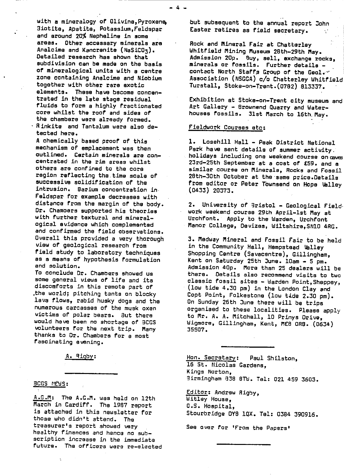with a mineralogy of **Olivine,Pyroxene,** 3iotite, Apatita, Potassium,Feldspar and around 20% **Nepheline in some areas. Other accessary minerals are Analcime and Kancrenite (NaSiCO3). Detailed research has shown that subdivision** can be **made on the basis. of mineralogical units with a centre zone containing Analcime and Niobium** together with other rare **exotic elements. These have become concentrated in the late stage residual fluids to form a highly fractionated core whilst the roof and sides of the chambers were already formed. Rinkite and Tantalum were also detected here.**

**A chemically based proof of this mechanism of emplacement was then outlined. Certain minerals are** concentrated in the rim areas whilst others are confined to the core region reflecting the.time scale of successive solidification of the intrusion. Barium concentration in. Feldspar for example decreases with distance from the margin of **the body. Dr. Chambers supported his theories with further textural and mineralogical evidence which complemented and confirmed** the field observations. Overall this provided a very thorough view of geological research from field study to laboratory techniques as a means of hypothesis formulation and solution.

To conclude Dr. Chambers showed us some general views of **life and its discomforts in** this remote part of .the world; pitching tents on blocky lava flows, rabid husky dogs and the numerous carcasses of the musk oxen victims of polar bears. But there would have been no shortage of 3CGS volunteers for the next trip. Many thanks to Or. Chambers for a most fascinating evening.

A. Rigby:

## **BCGS NEWS:**

A.G.M: The A.G.M. was held on 12th March in Cardiff. The 1987 report is attached in this newsletter for those who didn't attend. The treasurer's report showed very healthy finances and hence no subscription increase in the immediate future. The officers were re-elected but subsequent to the annual report John Easter retires as field secretary.

**Rock and Mineral Fair at Chatterley** Whitfield Mining Museum 28th-29th Mav. **Admission 20p. <sup>g</sup> uy, sell, exchange rocks, minerals or fossils.** Further details contact North Staffs Group of the **Geol. --' Association (NSGGA) c/o Chatterley Whitfield** Turstall, Stoke-on-Trent.(0782) 813337.

Exhibition at Stoke-on-Trent city museum and Art Gallery - Brownend Quarry and Waterhouses fossils. 31st March to 16th, May.

#### **Fieldwork Courses etc :**

**1. Losehill Hall - Peak District National Park have** sent details of summer activity. holidays including one weekend course on caves 23rd-25th September at a cost of £59. and a similar course on Minerals, Rocks and Fossil 28th-30th October at the same price.Datails from editor or Peter Townsend *on Hope Valley* (0433) 20373.

2. University of 3ristol - Geological Fieldwork weekend course 29th April-lst May at Urchfont. Appl y to the Warden, Lirchfont **Manor College, Devizes, Wiltshire,SN1O 4RG.**

**3. Medway Mineral and Fossil Fair to** be held in the Community Hall, Hempstead Valley Shopping Centre (Savacentre), Gillingham, Kent on Saturday 25th June. loam - 5 pm. Admission 4Qp. **More** than 25 dealers will be there. Details also recommend visits to two **classic** fossil sites - Warden Point,Sheppey, (low tide 4.30 pm) in the London Clay and Coot Point, Folkestone (low tide 2.30 pm). On Sunday 26th June there **will** be trips organised to these localities. Please apply to Mr. A. A. Mitchell, 10 Prinys Drive, Wigmore, Gillingham, Kent, MEB ORB. (0634) 35507.

Han. Secretary : Paul Shilstan, 15 St. Nicolas Gardens, Kings Norton, 3irmingham 838 8Th. Tel: 021 459 3603.

Editor: Andrew Rigby, Witley House, O.S. Hospital, Stourbridge 0Y8 1QX. Tel: 0384 390916.

See over for 'From the Papers'

- 4 -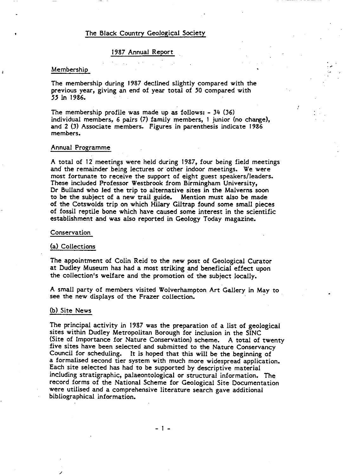# The Black Country Geological Society

## 1987 Annual Report

#### Membership

The membership during 1987 declined slightly compared with the previous *year,* giving an end of year total of *5*0 compared with *55* in 1986.

The membership profile was made up as follows: - 34 (36) individual members, 6 pairs (7) family members, 1 junior (no change), and 2 (3) Associate members. Figures in parenthesis indicate 1986 members.

### Annual Programme

A total of 12 meetings were held during 1987, four being field meetings and the remainder being lectures or other indoor meetings. We were most fortunate to receive the support of eight guest speakers/Ieaders. These included Professor Westbrook from Birmingham University, Dr Bulland who led the trip to alternative sites in the Malverns soon to be the subject of a new trail guide. Mention must also be made of the Cotswolds trip on which Hilary Giltrap found some small pieces of fossil reptile bone which have caused some interest in the scientific establishment and was also reported in Geology Today magazine.

### Conservation

### (a) Collections

The appointment of Colin Reid to the new post of Geological Curator at Dudley Museum has had a most striking and beneficial effect upon the collection's welfare and the promotion of the subject locally.

A small party of members visited Wolverhampton Art Gallery in May to see the new displays of the Frazer collection.

### (b) Site News

The principal activity in 1987 was the preparation of a list of geological sites within Dudley Metropolitan Borough for inclusion in the SINC (Site of Importance for Nature Conservation) scheme. A total of twenty five sites have been selected and submitted to the Nature Conservancy Council for scheduling. It is hoped that this will be the beginning of a formalised second tier system with much more widespread application. Each site selected has had to be supported by descriptive material including stratigraphic, palaeontological or structural information. The record forms of the National Scheme for Geological Site Documentation were utilised and a comprehensive literature search gave additional bibliographical information.

 $-1 -$